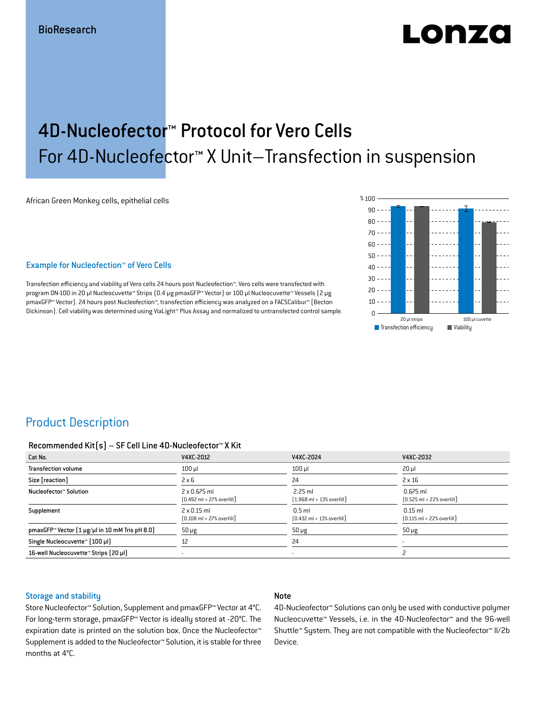# LODZO

## 4D-Nucleofector™ Protocol for Vero Cells For 4D-Nucleofector™ X Unit–Transfection in suspension

African Green Monkey cells, epithelial cells

#### Example for Nucleofection™ of Vero Cells

Transfection efficiency and viability of Vero cells 24 hours post Nucleofection™. Vero cells were transfected with program DN-100 in 20 μl Nucleocuvette™ Strips (0.4 μg pmaxGFP™ Vector) or 100 μl Nucleocuvette™ Vessels (2 μg pmaxGFP™ Vector). 24 hours post Nucleofection™, transfection efficiency was analyzed on a FACSCalibur™ (Becton Dickinson). Cell viability was determined using ViaLight™ Plus Assay and normalized to untransfected control sample.



## Product Description

#### Recommended Kit(s) – SF Cell Line 4D-Nucleofector™ X Kit

| Cat No.                                                           | V4XC-2012                                                           | V4XC-2024                                                 | V4XC-2032                                                  |
|-------------------------------------------------------------------|---------------------------------------------------------------------|-----------------------------------------------------------|------------------------------------------------------------|
| <b>Transfection volume</b>                                        | $100$ $\mu$                                                         | $100$ $\mu$                                               | $20 \mu$                                                   |
| Size [reaction]                                                   | $2 \times 6$                                                        | 24                                                        | $2 \times 16$                                              |
| Nucleofector™ Solution                                            | $2 \times 0.675$ ml<br>$[0.492 \text{ ml} + 27\% \text{ overfill}]$ | $2.25$ ml<br>$(1.968 \text{ ml} + 13\% \text{ overfill})$ | $0.675$ ml<br>$[0.525 \text{ ml} + 22\% \text{ overfill}]$ |
| Supplement                                                        | $2 \times 0.15$ ml<br>$[0.108 \text{ ml} + 27\% \text{ overfill}]$  | $0.5$ ml<br>$[0.432 \text{ ml} + 13\% \text{ overfill}]$  | $0.15$ ml<br>$[0.115 \text{ ml} + 22\% \text{ overfill}]$  |
| pmaxGFP <sup>*</sup> Vector $(1 \mu g/\mu)$ in 10 mM Tris pH 8.0) | $50 \mu g$                                                          | $50 \mu g$                                                | $50 \mu g$                                                 |
| Single Nucleocuvette™ [100 µl]                                    | 12                                                                  | 24                                                        | $\overline{\phantom{a}}$                                   |
| 16-well Nucleocuvette™ Strips (20 µl)                             |                                                                     | ۰                                                         |                                                            |

#### Storage and stability

#### Note

Store Nucleofector™ Solution, Supplement and pmaxGFP™ Vector at 4°C. For long-term storage, pmaxGFP™ Vector is ideally stored at -20°C. The expiration date is printed on the solution box. Once the Nucleofector™ Supplement is added to the Nucleofector™ Solution, it is stable for three months at 4°C.

4D-Nucleofector™ Solutions can only be used with conductive polymer Nucleocuvette™ Vessels, i.e. in the 4D-Nucleofector™ and the 96-well Shuttle™ System. They are not compatible with the Nucleofector™ II/2b Device.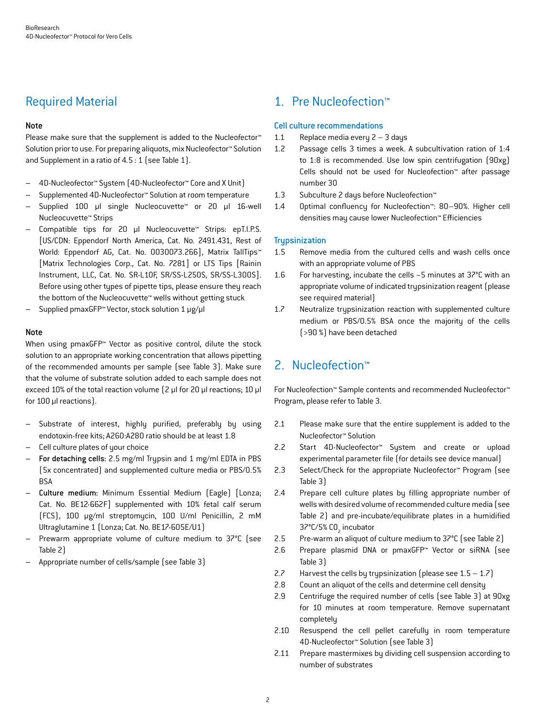## Required Material

#### Note

Please make sure that the supplement is added to the Nucleofector<sup>™</sup> Solution prior to use. For preparing aliquots, mix Nucleofector™ Solution and Supplement in a ratio of 4.5 : 1 (see Table 1).

- 4D-Nucleofector™ System (4D-Nucleofector™ Core and X Unit)
- Supplemented 4D-Nucleofector™ Solution at room temperature
- Supplied 100 µl single Nucleocuvette™ or 20 µl 16-well Nucleocuvette™ Strips
- Compatible tips for 20 µl Nucleocuvette™ Strips: epT.I.P.S. [US/CDN: Eppendorf North America, Cat. No. 2491.431, Rest of World: Eppendorf AG, Cat. No. 0030073.266], Matrix TallTips™ [Matrix Technologies Corp., Cat. No. 7281] or LTS Tips [Rainin Instrument, LLC, Cat. No. SR-L10F, SR/SS-L250S, SR/SS-L300S]. Before using other types of pipette tips, please ensure they reach the bottom of the Nucleocuvette™ wells without getting stuck
- Supplied pmaxGFP™ Vector, stock solution 1 μg/μl

#### Note

When using pmaxGFP™ Vector as positive control, dilute the stock solution to an appropriate working concentration that allows pipetting of the recommended amounts per sample (see Table 3). Make sure that the volume of substrate solution added to each sample does not exceed 10% of the total reaction volume (2 μl for 20 μl reactions; 10 μl for 100 μl reactions).

- Substrate of interest, highly purified, preferably by using endotoxin-free kits; A260:A280 ratio should be at least 1.8
- Cell culture plates of your choice
- For detaching cells: 2.5 mg/ml Trypsin and 1 mg/ml EDTA in PBS (5x concentrated) and supplemented culture media or PBS/0.5% BSA
- Culture medium: Minimum Essential Medium (Eagle) [Lonza; Cat. No. BE12-662F] supplemented with 10% fetal calf serum (FCS), 100 μg/ml streptomycin, 100 U/ml Penicillin, 2 mM Ultraglutamine 1 (Lonza; Cat. No. BE17-605E/U1)
- Prewarm appropriate volume of culture medium to 37°C (see Table 2)
- Appropriate number of cells/sample (see Table 3)

## 1. Pre Nucleofection™

#### Cell culture recommendations

- 1.1 Replace media every 2 3 days
- 1.2 Passage cells 3 times a week. A subcultivation ration of 1:4 to 1:8 is recommended. Use low spin centrifugation (90xg) Cells should not be used for Nucleofection™ after passage number 30
- 1.3 Subculture 2 days before Nucleofection™
- 1.4 Optimal confluency for Nucleofection™: 80–90%. Higher cell densities may cause lower Nucleofection™ Efficiencies

#### **Trupsinization**

- 1.5 Remove media from the cultured cells and wash cells once with an appropriate volume of PBS
- 1.6 For harvesting, incubate the cells ~5 minutes at 37°C with an appropriate volume of indicated trypsinization reagent (please see required material)
- 1.7 Neutralize trypsinization reaction with supplemented culture medium or PBS/0.5% BSA once the majority of the cells (>90 %) have been detached

## 2. Nucleofection™

For Nucleofection™ Sample contents and recommended Nucleofector™ Program, please refer to Table 3.

- 2.1 Please make sure that the entire supplement is added to the Nucleofector™ Solution
- 2.2 Start 4D-Nucleofector™ System and create or upload experimental parameter file (for details see device manual)
- 2.3 Select/Check for the appropriate Nucleofector™ Program (see Table 3)
- 2.4 Prepare cell culture plates by filling appropriate number of wells with desired volume of recommended culture media (see Table 2) and pre-incubate/equilibrate plates in a humidified 37°C/5% CO<sub>2</sub> incubator
- 2.5 Pre-warm an aliquot of culture medium to 37°C (see Table 2)
- 2.6 Prepare plasmid DNA or pmaxGFP™ Vector or siRNA (see Table 3)
- 2.7 Harvest the cells by trypsinization (please see  $1.5 1.7$ )
- 2.8 Count an aliquot of the cells and determine cell density
- 2.9 Centrifuge the required number of cells (see Table 3) at 90xg for 10 minutes at room temperature. Remove supernatant completely
- 2.10 Resuspend the cell pellet carefully in room temperature 4D-Nucleofector™ Solution (see Table 3)
- 2.11 Prepare mastermixes by dividing cell suspension according to number of substrates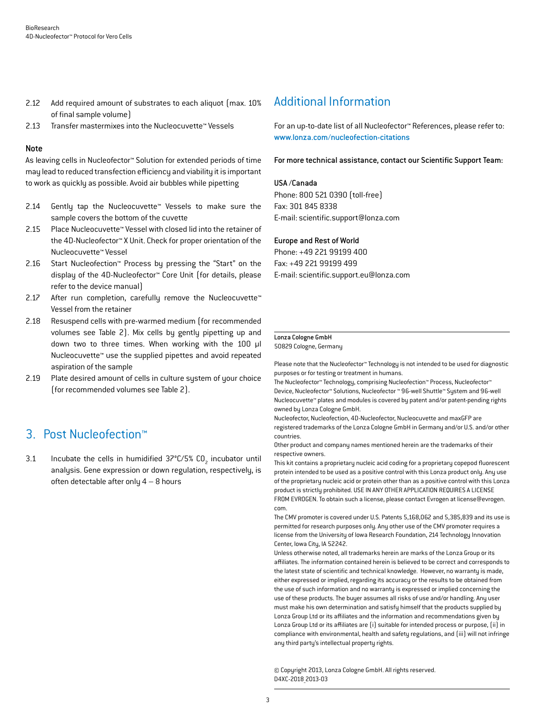- 2.12 Add required amount of substrates to each aliquot (max. 10%) of final sample volume)
- 2.13 Transfer mastermixes into the Nucleocuvette™ Vessels

#### Note

As leaving cells in Nucleofector™ Solution for extended periods of time may lead to reduced transfection efficiency and viability it is important to work as quickly as possible. Avoid air bubbles while pipetting

- 2.14 Gently tap the Nucleocuvette™ Vessels to make sure the sample covers the bottom of the cuvette
- 2.15 Place Nucleocuvette™ Vessel with closed lid into the retainer of the 4D-Nucleofector™ X Unit. Check for proper orientation of the Nucleocuvette™ Vessel
- 2.16 Start Nucleofection™ Process by pressing the "Start" on the display of the 4D-Nucleofector™ Core Unit (for details, please refer to the device manual)
- 2.17 After run completion, carefully remove the Nucleocuvette™ Vessel from the retainer
- 2.18 Resuspend cells with pre-warmed medium (for recommended volumes see Table 2). Mix cells by gently pipetting up and down two to three times. When working with the 100 µl Nucleocuvette™ use the supplied pipettes and avoid repeated aspiration of the sample
- 2.19 Plate desired amount of cells in culture system of your choice (for recommended volumes see Table 2).

## 3. Post Nucleofection™

3.1 Incubate the cells in humidified  $37^{\circ}$ C/5% CO<sub>2</sub> incubator until analysis. Gene expression or down regulation, respectively, is often detectable after only  $4 - 8$  hours

## Additional Information

For an up-to-date list of all Nucleofector™ References, please refer to: www.lonza.com/nucleofection-citations

For more technical assistance, contact our Scientific Support Team:

#### USA /Canada

Phone: 800 521 0390 (toll-free) Fax: 301 845 8338 E-mail: scientific.support@lonza.com

#### Europe and Rest of World

Phone: +49 221 99199 400 Fax: +49 221 99199 499 E-mail: scientific.support.eu@lonza.com

#### Lonza Cologne GmbH

50829 Cologne, Germany

Please note that the Nucleofector™ Technology is not intended to be used for diagnostic purposes or for testing or treatment in humans.

The Nucleofector™ Technology, comprising Nucleofection™ Process, Nucleofector™ Device, Nucleofector™ Solutions, Nucleofector ™ 96-well Shuttle™ System and 96-well Nucleocuvette™ plates and modules is covered by patent and/or patent-pending rights owned by Lonza Cologne GmbH.

Nucleofector, Nucleofection, 4D-Nucleofector, Nucleocuvette and maxGFP are registered trademarks of the Lonza Cologne GmbH in Germany and/or U.S. and/or other countries.

Other product and company names mentioned herein are the trademarks of their respective owners.

This kit contains a proprietary nucleic acid coding for a proprietary copepod fluorescent protein intended to be used as a positive control with this Lonza product only. Any use of the proprietary nucleic acid or protein other than as a positive control with this Lonza product is strictly prohibited. USE IN ANY OTHER APPLICATION REQUIRES A LICENSE FROM EVROGEN. To obtain such a license, please contact Evrogen at license@evrogen. com.

The CMV promoter is covered under U.S. Patents 5,168,062 and 5,385,839 and its use is permitted for research purposes only. Any other use of the CMV promoter requires a license from the University of Iowa Research Foundation, 214 Technology Innovation Center, Iowa City, IA 52242.

Unless otherwise noted, all trademarks herein are marks of the Lonza Group or its affiliates. The information contained herein is believed to be correct and corresponds to the latest state of scientific and technical knowledge. However, no warranty is made, either expressed or implied, regarding its accuracy or the results to be obtained from the use of such information and no warranty is expressed or implied concerning the use of these products. The buyer assumes all risks of use and/or handling. Any user must make his own determination and satisfy himself that the products supplied by Lonza Group Ltd or its affiliates and the information and recommendations given by Lonza Group Ltd or its affiliates are (i) suitable for intended process or purpose, (ii) in compliance with environmental, health and safety regulations, and (iii) will not infringe any third party's intellectual property rights.

© Copyright 2013, Lonza Cologne GmbH. All rights reserved. D4XC-2018\_2013-03